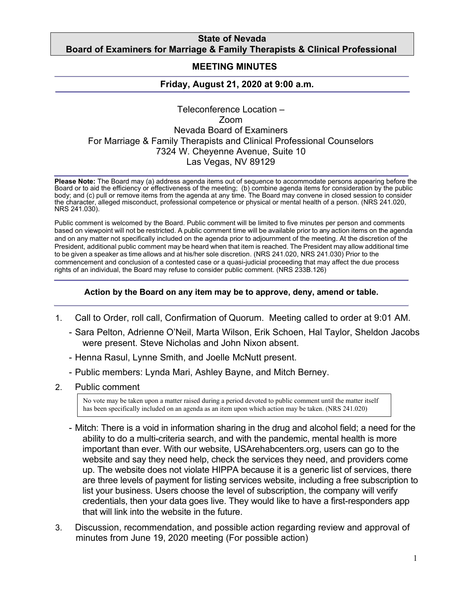### **State of Nevada Board of Examiners for Marriage & Family Therapists & Clinical Professional**

# **MEETING MINUTES**

# **Friday, August 21, 2020 at 9:00 a.m***.*

# Teleconference Location – Zoom Nevada Board of Examiners For Marriage & Family Therapists and Clinical Professional Counselors 7324 W. Cheyenne Avenue, Suite 10 Las Vegas, NV 89129

**Please Note:** The Board may (a) address agenda items out of sequence to accommodate persons appearing before the Board or to aid the efficiency or effectiveness of the meeting; (b) combine agenda items for consideration by the public body; and (c) pull or remove items from the agenda at any time. The Board may convene in closed session to consider the character, alleged misconduct, professional competence or physical or mental health of a person. (NRS 241.020, NRS 241.030).

Public comment is welcomed by the Board. Public comment will be limited to five minutes per person and comments based on viewpoint will not be restricted. A public comment time will be available prior to any action items on the agenda and on any matter not specifically included on the agenda prior to adjournment of the meeting. At the discretion of the President, additional public comment may be heard when that item is reached. The President may allow additional time to be given a speaker as time allows and at his/her sole discretion. (NRS 241.020, NRS 241.030) Prior to the commencement and conclusion of a contested case or a quasi-judicial proceeding that may affect the due process rights of an individual, the Board may refuse to consider public comment. (NRS 233B.126)

#### **Action by the Board on any item may be to approve, deny, amend or table.**

- 1. Call to Order, roll call, Confirmation of Quorum. Meeting called to order at 9:01 AM.
	- Sara Pelton, Adrienne O'Neil, Marta Wilson, Erik Schoen, Hal Taylor, Sheldon Jacobs were present. Steve Nicholas and John Nixon absent.
	- Henna Rasul, Lynne Smith, and Joelle McNutt present.
	- Public members: Lynda Mari, Ashley Bayne, and Mitch Berney.
- 2. Public comment

No vote may be taken upon a matter raised during a period devoted to public comment until the matter itself has been specifically included on an agenda as an item upon which action may be taken. (NRS 241.020)

- Mitch: There is a void in information sharing in the drug and alcohol field; a need for the ability to do a multi-criteria search, and with the pandemic, mental health is more important than ever. With our website, USArehabcenters.org, users can go to the website and say they need help, check the services they need, and providers come up. The website does not violate HIPPA because it is a generic list of services, there are three levels of payment for listing services website, including a free subscription to list your business. Users choose the level of subscription, the company will verify credentials, then your data goes live. They would like to have a first-responders app that will link into the website in the future.
- 3. Discussion, recommendation, and possible action regarding review and approval of minutes from June 19, 2020 meeting (For possible action)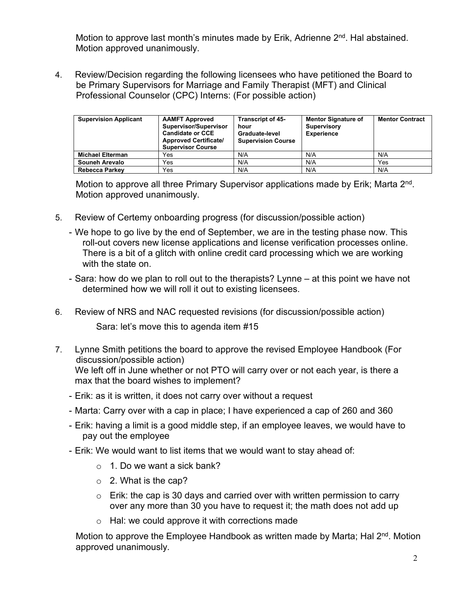Motion to approve last month's minutes made by Erik, Adrienne  $2<sup>nd</sup>$ . Hal abstained. Motion approved unanimously.

4. Review/Decision regarding the following licensees who have petitioned the Board to be Primary Supervisors for Marriage and Family Therapist (MFT) and Clinical Professional Counselor (CPC) Interns: (For possible action)

| <b>Supervision Applicant</b> | <b>AAMFT Approved</b><br>Supervisor/Supervisor<br><b>Candidate or CCE</b><br><b>Approved Certificate/</b><br><b>Supervisor Course</b> | <b>Transcript of 45-</b><br>hour<br>Graduate-level<br><b>Supervision Course</b> | <b>Mentor Signature of</b><br><b>Supervisory</b><br><b>Experience</b> | <b>Mentor Contract</b> |
|------------------------------|---------------------------------------------------------------------------------------------------------------------------------------|---------------------------------------------------------------------------------|-----------------------------------------------------------------------|------------------------|
| <b>Michael Elterman</b>      | Yes                                                                                                                                   | N/A                                                                             | N/A                                                                   | N/A                    |
| Souneh Arevalo               | Yes                                                                                                                                   | N/A                                                                             | N/A                                                                   | Yes                    |
| <b>Rebecca Parkey</b>        | Yes                                                                                                                                   | N/A                                                                             | N/A                                                                   | N/A                    |

Motion to approve all three Primary Supervisor applications made by Erik; Marta 2<sup>nd</sup>. Motion approved unanimously.

- 5. Review of Certemy onboarding progress (for discussion/possible action)
	- We hope to go live by the end of September, we are in the testing phase now. This roll-out covers new license applications and license verification processes online. There is a bit of a glitch with online credit card processing which we are working with the state on.
	- Sara: how do we plan to roll out to the therapists? Lynne at this point we have not determined how we will roll it out to existing licensees.
- 6. Review of NRS and NAC requested revisions (for discussion/possible action) Sara: let's move this to agenda item #15
- 7. Lynne Smith petitions the board to approve the revised Employee Handbook (For discussion/possible action) We left off in June whether or not PTO will carry over or not each year, is there a max that the board wishes to implement?
	- Erik: as it is written, it does not carry over without a request
	- Marta: Carry over with a cap in place; I have experienced a cap of 260 and 360
	- Erik: having a limit is a good middle step, if an employee leaves, we would have to pay out the employee
	- Erik: We would want to list items that we would want to stay ahead of:
		- $\circ$  1. Do we want a sick bank?
		- $\circ$  2. What is the cap?
		- $\circ$  Erik: the cap is 30 days and carried over with written permission to carry over any more than 30 you have to request it; the math does not add up
		- o Hal: we could approve it with corrections made

Motion to approve the Employee Handbook as written made by Marta; Hal 2<sup>nd</sup>. Motion approved unanimously.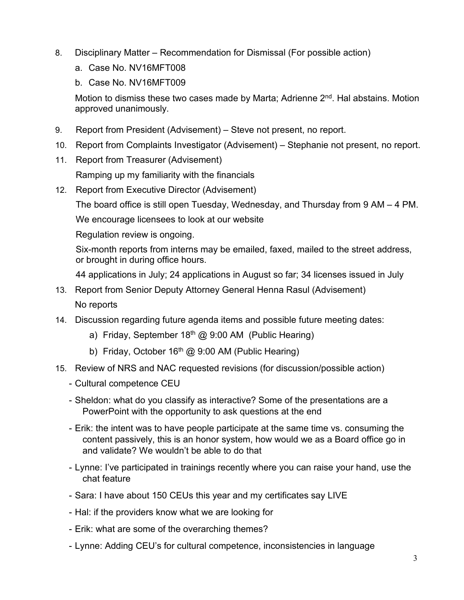- 8. Disciplinary Matter Recommendation for Dismissal (For possible action)
	- a. Case No. NV16MFT008
	- b. Case No. NV16MFT009

Motion to dismiss these two cases made by Marta; Adrienne  $2<sup>nd</sup>$ . Hal abstains. Motion approved unanimously.

- 9. Report from President (Advisement) Steve not present, no report.
- 10. Report from Complaints Investigator (Advisement) Stephanie not present, no report.
- 11. Report from Treasurer (Advisement)

Ramping up my familiarity with the financials

12. Report from Executive Director (Advisement)

The board office is still open Tuesday, Wednesday, and Thursday from 9 AM – 4 PM.

We encourage licensees to look at our website

Regulation review is ongoing.

Six-month reports from interns may be emailed, faxed, mailed to the street address, or brought in during office hours.

44 applications in July; 24 applications in August so far; 34 licenses issued in July

- 13. Report from Senior Deputy Attorney General Henna Rasul (Advisement) No reports
- 14. Discussion regarding future agenda items and possible future meeting dates:
	- a) Friday, September  $18<sup>th</sup>$  @ 9:00 AM (Public Hearing)
	- b) Friday, October  $16<sup>th</sup>$  @ 9:00 AM (Public Hearing)
- 15. Review of NRS and NAC requested revisions (for discussion/possible action)
	- Cultural competence CEU
	- Sheldon: what do you classify as interactive? Some of the presentations are a PowerPoint with the opportunity to ask questions at the end
	- Erik: the intent was to have people participate at the same time vs. consuming the content passively, this is an honor system, how would we as a Board office go in and validate? We wouldn't be able to do that
	- Lynne: I've participated in trainings recently where you can raise your hand, use the chat feature
	- Sara: I have about 150 CEUs this year and my certificates say LIVE
	- Hal: if the providers know what we are looking for
	- Erik: what are some of the overarching themes?
	- Lynne: Adding CEU's for cultural competence, inconsistencies in language